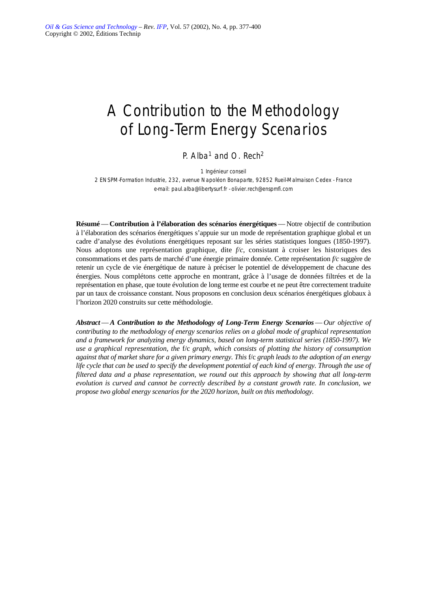# A Contribution to the Methodology of Long-Term Energy Scenarios

# P. Alba<sup>1</sup> and O. Rech<sup>2</sup>

*1 Ingénieur conseil*

*2 ENSPM-Formation Industrie, 232, avenue Napoléon Bonaparte, 92852 Rueil-Malmaison Cedex - France e-mail: paul.alba@libertysurf.fr - olivier.rech@enspmfi.com*

**Résumé** — **Contribution à l'élaboration des scénarios énergétiques** — Notre objectif de contribution à l'élaboration des scénarios énergétiques s'appuie sur un mode de représentation graphique global et un cadre d'analyse des évolutions énergétiques reposant sur les séries statistiques longues (1850-1997). Nous adoptons une représentation graphique, dite *f/c*, consistant à croiser les historiques des consommations et des parts de marché d'une énergie primaire donnée. Cette représentation *f/c* suggère de retenir un cycle de vie énergétique de nature à préciser le potentiel de développement de chacune des énergies. Nous complétons cette approche en montrant, grâce à l'usage de données filtrées et de la représentation en phase, que toute évolution de long terme est courbe et ne peut être correctement traduite par un taux de croissance constant. Nous proposons en conclusion deux scénarios énergétiques globaux à l'horizon 2020 construits sur cette méthodologie.

*Abstract* — *A Contribution to the Methodology of Long-Term Energy Scenarios* — *Our objective of contributing to the methodology of energy scenarios relies on a global mode of graphical representation and a framework for analyzing energy dynamics, based on long-term statistical series (1850-1997). We use a graphical representation, the* f/c *graph, which consists of plotting the history of consumption against that of market share for a given primary energy. This f/c graph leads to the adoption of an energy life cycle that can be used to specify the development potential of each kind of energy. Through the use of filtered data and a phase representation, we round out this approach by showing that all long-term evolution is curved and cannot be correctly described by a constant growth rate. In conclusion, we propose two global energy scenarios for the 2020 horizon, built on this methodology.*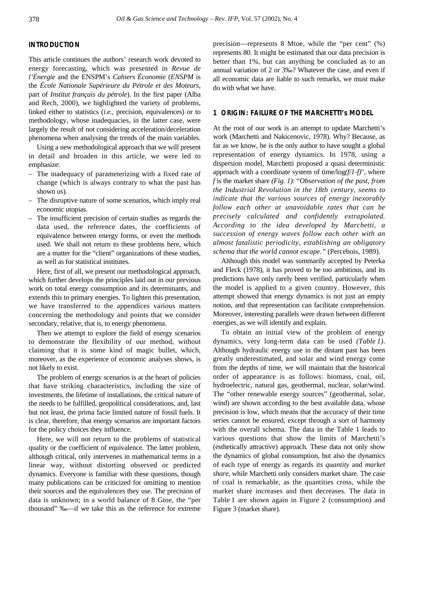## **INTRODUCTION**

This article continues the authors' research work devoted to energy forecasting, which was presented in *Revue de l'Énergie* and the ENSPM's *Cahiers Économie* (*ENSPM* is the *École Nationale Supérieure du Pétrole et des Moteurs*, part of *Institut français du pétrole*). In the first paper (Alba and Rech, 2000), we highlighted the variety of problems, linked either to statistics (*i.e.*, precision, equivalences) or to methodology, whose inadequacies, in the latter case, were largely the result of not considering acceleration/deceleration phenomena when analysing the trends of the main variables.

Using a new methodological approach that we will present in detail and broaden in this article, we were led to emphasize:

- The inadequacy of parameterizing with a fixed rate of change (which is always contrary to what the past has shown us).
- The disruptive nature of some scenarios, which imply real economic utopias.
- The insufficient precision of certain studies as regards the data used, the reference dates, the coefficients of equivalence between energy forms, or even the methods used. We shall not return to these problems here, which are a matter for the "client" organizations of these studies, as well as for statistical institutes.

Here, first of all, we present our methodological approach, which further develops the principles laid out in our previous work on total energy consumption and its determinants, and extends this to primary energies. To lighten this presentation, we have transferred to the appendices various matters concerning the methodology and points that we consider secondary, relative, that is, to energy phenomena.

Then we attempt to explore the field of energy scenarios to demonstrate the flexibility of our method, without claiming that it is some kind of magic bullet, which, moreover, as the experience of economic analyses shows, is not likely to exist.

The problem of energy scenarios is at the heart of policies that have striking characteristics, including the size of investments, the lifetime of installations, the critical nature of the needs to be fulfilled, geopolitical considerations, and, last but not least, the prima facie limited nature of fossil fuels. It is clear, therefore, that energy scenarios are important factors for the policy choices they influence.

Here, we will not return to the problems of statistical quality or the coefficient of equivalence. The latter problem, although critical, only intervenes in mathematical terms in a linear way, without distorting observed or predicted dynamics. Everyone is familiar with these questions, though many publications can be criticized for omitting to mention their sources and the equivalences they use. The precision of data is unknown; in a world balance of 8 Gtoe, the "per thousand" ‰—if we take this as the reference for extreme

precision—represents 8 Mtoe, while the "per cent" (%) represents 80. It might be estimated that our data precision is better than 1%, but can anything be concluded as to an annual variation of 2 or 3‰? Whatever the case, and even if all economic data are liable to such remarks, we must make do with what we have.

#### **1 ORIGIN: FAILURE OF THE MARCHETTI's MODEL**

At the root of our work is an attempt to update Marchetti's work (Marchetti and Nakicenovic, 1978). Why? Because, as far as we know, he is the only author to have sought a global representation of energy dynamics. In 1978, using a dispersion model, Marchetti proposed a quasi deterministic approach with a coordinate system of time/log*(f/1-f)*", where *f* is the market share *(Fig. 1)*: "*Observation of the past, from the Industrial Revolution in the 18th century, seems to indicate that the various sources of energy inexorably follow each other at unavoidable rates that can be precisely calculated and confidently extrapolated. According to the idea developed by Marchetti, a succession of energy waves follow each other with an almost fatalistic periodicity, establishing an obligatory schema that the world cannot escape."* (Percebois, 1989).

Although this model was summarily accepted by Peterka and Fleck (1978), it has proved to be too ambitious, and its predictions have only rarely been verified, particularly when the model is applied to a given country. However, this attempt showed that energy dynamics is not just an empty notion, and that representation can facilitate comprehension. Moreover, interesting parallels were drawn between different energies, as we will identify and explain.

To obtain an initial view of the problem of energy dynamics, very long-term data can be used *(Table 1)*. Although hydraulic energy use in the distant past has been greatly underestimated, and solar and wind energy come from the depths of time, we will maintain that the historical order of appearance is as follows: biomass, coal, oil, hydroelectric, natural gas, geothermal, nuclear, solar/wind. The "other renewable energy sources" (geothermal, solar, wind) are shown according to the best available data, whose precision is low, which means that the accuracy of their time series cannot be ensured, except through a sort of harmony with the overall schema. The data in the Table 1 leads to various questions that show the limits of Marchetti's (esthetically attractive) approach. These data not only show the dynamics of global consumption, but also the dynamics of each type of energy as regards its *quantity* and *market share*, while Marchetti only considers market share. The case of coal is remarkable, as the quantities cross, while the market share increases and then decreases. The data in Table 1 are shown again in Figure 2 (consumption) and Figure 3 (market share).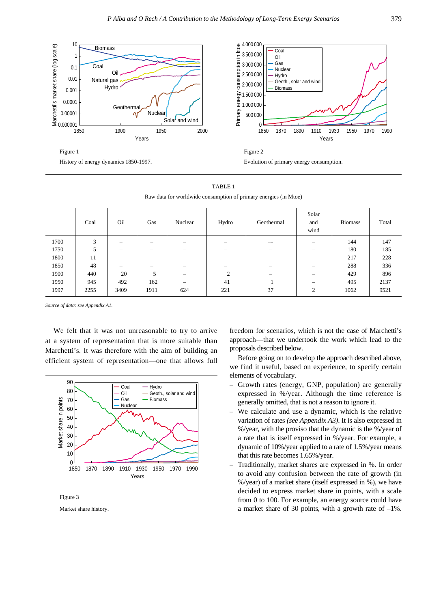

TABLE 1 Raw data for worldwide consumption of primary energies (in Mtoe)

|      | Coal | Oil  | Gas                      | Nuclear                  | Hydro                    | Geothermal               | Solar<br>and<br>wind     | <b>Biomass</b> | Total |
|------|------|------|--------------------------|--------------------------|--------------------------|--------------------------|--------------------------|----------------|-------|
| 1700 | 3    |      | $\overline{\phantom{m}}$ |                          |                          | $- -$                    |                          | 144            | 147   |
| 1750 | 5    |      | –                        |                          |                          |                          | $\overline{\phantom{m}}$ | 180            | 185   |
| 1800 | 11   |      |                          | $\overline{\phantom{m}}$ | $\overline{\phantom{0}}$ | $\overline{\phantom{0}}$ |                          | 217            | 228   |
| 1850 | 48   | —    |                          |                          |                          | $\overline{\phantom{0}}$ |                          | 288            | 336   |
| 1900 | 440  | 20   | 5                        |                          | $\overline{2}$           |                          |                          | 429            | 896   |
| 1950 | 945  | 492  | 162                      | $\overline{\phantom{m}}$ | 41                       |                          |                          | 495            | 2137  |
| 1997 | 2255 | 3409 | 1911                     | 624                      | 221                      | 37                       | 2                        | 1062           | 9521  |

*Source of data: see Appendix A1.*

We felt that it was not unreasonable to try to arrive at a system of representation that is more suitable than Marchetti's. It was therefore with the aim of building an efficient system of representation—one that allows full





Market share history.

freedom for scenarios, which is not the case of Marchetti's approach—that we undertook the work which lead to the proposals described below.

Before going on to develop the approach described above, we find it useful, based on experience, to specify certain elements of vocabulary.

- Growth rates (energy, GNP, population) are generally expressed in %/year. Although the time reference is generally omitted, that is not a reason to ignore it.
- We calculate and use a dynamic, which is the relative variation of rates *(see Appendix A3)*. It is also expressed in %/year, with the proviso that the dynamic is the %/year of a rate that is itself expressed in %/year. For example, a dynamic of 10%/year applied to a rate of 1.5%/year means that this rate becomes 1.65%/year.
- Traditionally, market shares are expressed in %. In order to avoid any confusion between the rate of growth (in %/year) of a market share (itself expressed in %), we have decided to express market share in points, with a scale from 0 to 100. For example, an energy source could have a market share of 30 points, with a growth rate of  $-1\%$ .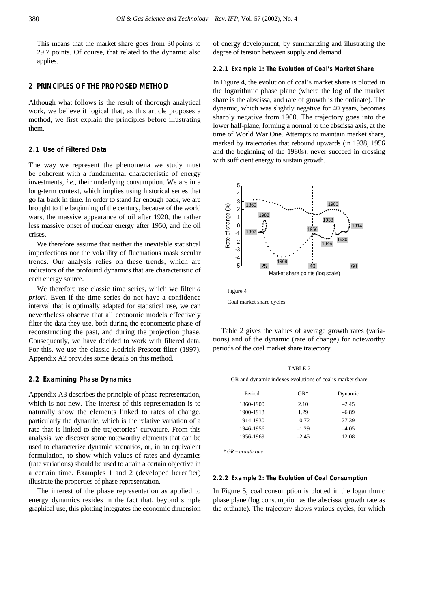This means that the market share goes from 30 points to 29.7 points. Of course, that related to the dynamic also applies.

## **2 PRINCIPLES OF THE PROPOSED METHOD**

Although what follows is the result of thorough analytical work, we believe it logical that, as this article proposes a method, we first explain the principles before illustrating them.

#### **2.1 Use of Filtered Data**

The way we represent the phenomena we study must be coherent with a fundamental characteristic of energy investments, *i.e.*, their underlying consumption. We are in a long-term context, which implies using historical series that go far back in time. In order to stand far enough back, we are brought to the beginning of the century, because of the world wars, the massive appearance of oil after 1920, the rather less massive onset of nuclear energy after 1950, and the oil crises.

We therefore assume that neither the inevitable statistical imperfections nor the volatility of fluctuations mask secular trends. Our analysis relies on these trends, which are indicators of the profound dynamics that are characteristic of each energy source.

We therefore use classic time series, which we filter *a priori*. Even if the time series do not have a confidence interval that is optimally adapted for statistical use, we can nevertheless observe that all economic models effectively filter the data they use, both during the econometric phase of reconstructing the past, and during the projection phase. Consequently, we have decided to work with filtered data. For this, we use the classic Hodrick-Prescott filter (1997). Appendix A2 provides some details on this method.

#### **2.2 Examining Phase Dynamics**

Appendix A3 describes the principle of phase representation, which is not new. The interest of this representation is to naturally show the elements linked to rates of change, particularly the dynamic, which is the relative variation of a rate that is linked to the trajectories' curvature. From this analysis, we discover some noteworthy elements that can be used to characterize dynamic scenarios, or, in an equivalent formulation, to show which values of rates and dynamics (rate variations) should be used to attain a certain objective in a certain time. Examples 1 and 2 (developed hereafter) illustrate the properties of phase representation.

The interest of the phase representation as applied to energy dynamics resides in the fact that, beyond simple graphical use, this plotting integrates the economic dimension of energy development, by summarizing and illustrating the degree of tension between supply and demand.

#### **2.2.1 Example 1: The Evolution of Coal's Market Share**

In Figure 4, the evolution of coal's market share is plotted in the logarithmic phase plane (where the log of the market share is the abscissa, and rate of growth is the ordinate). The dynamic, which was slightly negative for 40 years, becomes sharply negative from 1900. The trajectory goes into the lower half-plane, forming a normal to the abscissa axis, at the time of World War One. Attempts to maintain market share, marked by trajectories that rebound upwards (in 1938, 1956 and the beginning of the 1980s), never succeed in crossing with sufficient energy to sustain growth.



Table 2 gives the values of average growth rates (variations) and of the dynamic (rate of change) for noteworthy periods of the coal market share trajectory.

TABLE 2 GR and dynamic indexes evolutions of coal's market share

| Period    | $GR*$   | Dynamic |
|-----------|---------|---------|
| 1860-1900 | 2.10    | $-2.45$ |
| 1900-1913 | 1.29    | $-6.89$ |
| 1914-1930 | $-0.72$ | 27.39   |
| 1946-1956 | $-1.29$ | $-4.05$ |
| 1956-1969 | $-2.45$ | 12.08   |
|           |         |         |

*\* GR = growth rate*

### **2.2.2 Example 2: The Evolution of Coal Consumption**

In Figure 5, coal consumption is plotted in the logarithmic phase plane (log consumption as the abscissa, growth rate as the ordinate). The trajectory shows various cycles, for which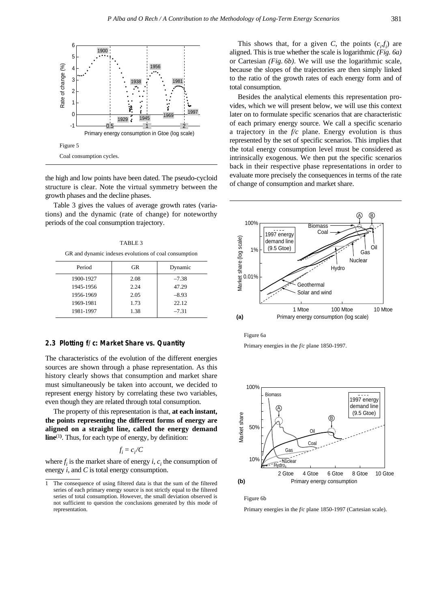

the high and low points have been dated. The pseudo-cycloid structure is clear. Note the virtual symmetry between the growth phases and the decline phases.

Table 3 gives the values of average growth rates (variations) and the dynamic (rate of change) for noteworthy periods of the coal consumption trajectory.

TABLE 3 GR and dynamic indexes evolutions of coal consumption

| Period    | GR   | Dynamic |
|-----------|------|---------|
| 1900-1927 | 2.08 | $-7.38$ |
| 1945-1956 | 2.24 | 47.29   |
| 1956-1969 | 2.05 | $-8.93$ |
| 1969-1981 | 1.73 | 22.12   |
| 1981-1997 | 1.38 | $-7.31$ |

## **2.3 Plotting** *f/c***: Market Share** *vs.* **Quantity**

The characteristics of the evolution of the different energies sources are shown through a phase representation. As this history clearly shows that consumption and market share must simultaneously be taken into account, we decided to represent energy history by correlating these two variables, even though they are related through total consumption.

The property of this representation is that, **at each instant, the points representing the different forms of energy are aligned on a straight line, called the energy demand line**(1**)** . Thus, for each type of energy, by definition:

$$
f_i=c_i/C
$$

where  $f_i$  is the market share of energy *i*,  $c_i$  the consumption of energy *i*, and *C* is total energy consumption.

This shows that, for a given *C*, the points  $(c_i f_i)$  are aligned. This is true whether the scale is logarithmic *(Fig. 6a)* or Cartesian *(Fig. 6b)*. We will use the logarithmic scale, because the slopes of the trajectories are then simply linked to the ratio of the growth rates of each energy form and of total consumption.

Besides the analytical elements this representation provides, which we will present below, we will use this context later on to formulate specific scenarios that are characteristic of each primary energy source. We call a specific scenario a trajectory in the *f/c* plane. Energy evolution is thus represented by the set of specific scenarios. This implies that the total energy consumption level must be considered as intrinsically exogenous. We then put the specific scenarios back in their respective phase representations in order to evaluate more precisely the consequences in terms of the rate of change of consumption and market share.



Figure 6a

Primary energies in the *f/c* plane 1850-1997.



Figure 6b

Primary energies in the *f/c* plane 1850-1997 (Cartesian scale).

<sup>1</sup> The consequence of using filtered data is that the sum of the filtered series of each primary energy source is not strictly equal to the filtered series of total consumption. However, the small deviation observed is not sufficient to question the conclusions generated by this mode of representation.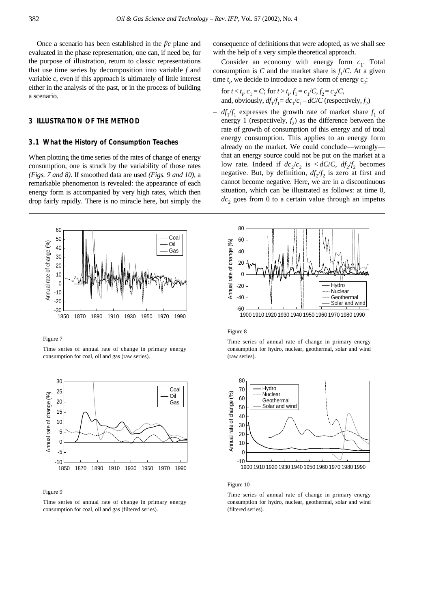Once a scenario has been established in the *f/c* plane and evaluated in the phase representation, one can, if need be, for the purpose of illustration, return to classic representations that use time series by decomposition into variable *f* and variable *c*, even if this approach is ultimately of little interest either in the analysis of the past, or in the process of building a scenario.

#### **3 ILLUSTRATION OF THE METHOD**

## **3.1 What the History of Consumption Teaches**

When plotting the time series of the rates of change of energy consumption, one is struck by the variability of those rates *(Figs. 7 and 8)*. If smoothed data are used *(Figs. 9 and 10)*, a remarkable phenomenon is revealed: the appearance of each energy form is accompanied by very high rates, which then drop fairly rapidly. There is no miracle here, but simply the



Figure 7

Time series of annual rate of change in primary energy consumption for coal, oil and gas (raw series).



#### Figure 9

Time series of annual rate of change in primary energy consumption for coal, oil and gas (filtered series).

consequence of definitions that were adopted, as we shall see with the help of a very simple theoretical approach.

Consider an economy with energy form  $c_1$ . Total consumption is *C* and the market share is  $f_1/C$ . At a given time  $t_i$ , we decide to introduce a new form of energy  $c_2$ :

for 
$$
t < t_i
$$
,  $c_1 = C$ ; for  $t > t_i$ ,  $f_1 = c_1/C$ ,  $f_2 = c_2/C$ ,  
and, obviously,  $df_1/f_1 = dc_1/c_1 - dC/C$  (respectively,  $f_2$ )

 $- df_1/f_1$  expresses the growth rate of market share  $f_1$  of energy 1 (respectively,  $f_2$ ) as the difference between the rate of growth of consumption of this energy and of total energy consumption. This applies to an energy form already on the market. We could conclude—wrongly that an energy source could not be put on the market at a low rate. Indeed if  $dc_2/c_2$  is  $\lt dC/C$ ,  $df_2/f_2$  becomes negative. But, by definition,  $df_2/f_2$  is zero at first and cannot become negative. Here, we are in a discontinuous situation, which can be illustrated as follows: at time 0,  $dc<sub>2</sub>$  goes from 0 to a certain value through an impetus



## Figure 8

Time series of annual rate of change in primary energy consumption for hydro, nuclear, geothermal, solar and wind (raw series).



#### Figure 10

Time series of annual rate of change in primary energy consumption for hydro, nuclear, geothermal, solar and wind (filtered series).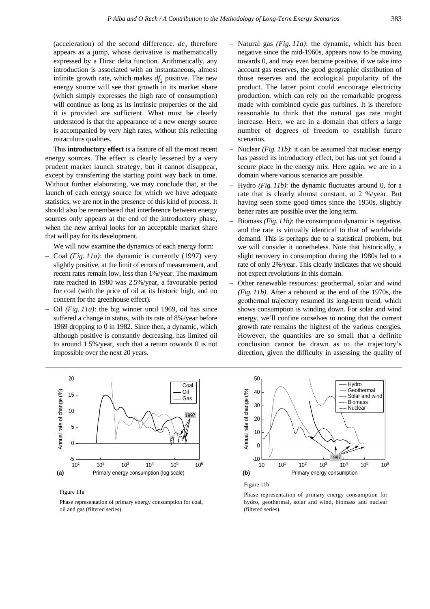(acceleration) of the second difference.  $dc<sub>2</sub>$  therefore appears as a jump, whose derivative is mathematically expressed by a Dirac delta function. Arithmetically, any introduction is associated with an instantaneous, almost infinite growth rate, which makes  $df_2$  positive. The new energy source will see that growth in its market share (which simply expresses the high rate of consumption) will continue as long as its intrinsic properties or the aid it is provided are sufficient. What must be clearly understood is that the appearance of a new energy source is accompanied by very high rates, without this reflecting miraculous qualities.

This **introductory effect** is a feature of all the most recent energy sources. The effect is clearly lessened by a very prudent market launch strategy, but it cannot disappear, except by transferring the starting point way back in time. Without further elaborating, we may conclude that, at the launch of each energy source for which we have adequate statistics, we are not in the presence of this kind of process. It should also be remembered that interference between energy sources only appears at the end of the introductory phase, when the new arrival looks for an acceptable market share that will pay for its development.

We will now examine the dynamics of each energy form:

- Coal *(Fig. 11a)*: the dynamic is currently (1997) very slightly positive, at the limit of errors of measurement, and recent rates remain low, less than 1%/year. The maximum rate reached in 1980 was 2.5%/year, a favourable period for coal (with the price of oil at its historic high, and no concern for the greenhouse effect).
- Oil *(Fig. 11a)*: the big winner until 1969, oil has since suffered a change in status, with its rate of 8%/year before 1969 dropping to 0 in 1982. Since then, a dynamic, which although positive is constantly decreasing, has limited oil to around 1.5%/year, such that a return towards 0 is not impossible over the next 20 years.
- Natural gas *(Fig. 11a)*: the dynamic, which has been negative since the mid-1960s, appears now to be moving towards 0, and may even become positive, if we take into account gas reserves, the good geographic distribution of those reserves and the ecological popularity of the product. The latter point could encourage electricity production, which can rely on the remarkable progress made with combined cycle gas turbines. It is therefore reasonable to think that the natural gas rate might increase. Here, we are in a domain that offers a large number of degrees of freedom to establish future scenarios.
- Nuclear *(Fig. 11b)*: it can be assumed that nuclear energy has passed its introductory effect, but has not yet found a secure place in the energy mix. Here again, we are in a domain where various scenarios are possible.
- Hydro *(Fig. 11b)*: the dynamic fluctuates around 0, for a rate that is clearly almost constant, at 2 %/year. But having seen some good times since the 1950s, slightly better rates are possible over the long term.
- Biomass *(Fig. 11b)*: the consumption dynamic is negative, and the rate is virtually identical to that of worldwide demand. This is perhaps due to a statistical problem, but we will consider it nonetheless. Note that historically, a slight recovery in consumption during the 1980s led to a rate of only 2%/year. This clearly indicates that we should not expect revolutions in this domain.
- Other renewable resources: geothermal, solar and wind *(Fig. 11b)*. After a rebound at the end of the 1970s, the geothermal trajectory resumed its long-term trend, which shows consumption is winding down. For solar and wind energy, we'll confine ourselves to noting that the current growth rate remains the highest of the various energies. However, the quantities are so small that a definite conclusion cannot be drawn as to the trajectory's direction, given the difficulty in assessing the quality of



#### Figure 11a

Phase representation of primary energy consumption for coal, oil and gas (filtered series).



Figure 11b

Phase representation of primary energy consumption for hydro, geothermal, solar and wind, biomass and nuclear (filtered series).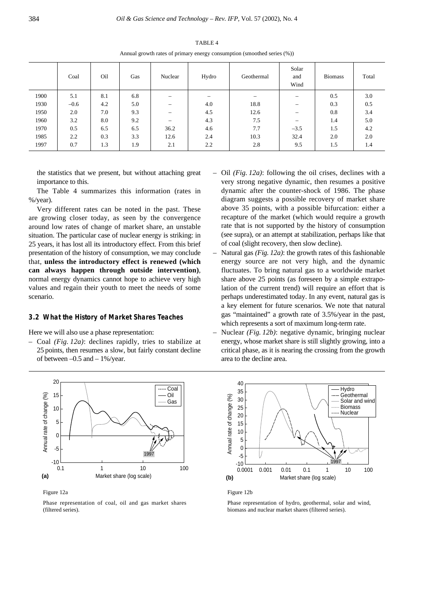### TABLE 4

Annual growth rates of primary energy consumption (smoothed series (%))

|      | Coal    | Oil | Gas | Nuclear | Hydro | Geothermal | Solar<br>and<br>Wind         | <b>Biomass</b> | Total |
|------|---------|-----|-----|---------|-------|------------|------------------------------|----------------|-------|
| 1900 | 5.1     | 8.1 | 6.8 |         |       |            | $\qquad \qquad \blacksquare$ | 0.5            | 3.0   |
| 1930 | $-0.6$  | 4.2 | 5.0 |         | 4.0   | 18.8       |                              | 0.3            | 0.5   |
| 1950 | 2.0     | 7.0 | 9.3 |         | 4.5   | 12.6       |                              | 0.8            | 3.4   |
| 1960 | 3.2     | 8.0 | 9.2 |         | 4.3   | 7.5        | $\overline{\phantom{m}}$     | 1.4            | 5.0   |
| 1970 | 0.5     | 6.5 | 6.5 | 36.2    | 4.6   | 7.7        | $-3.5$                       | 1.5            | 4.2   |
| 1985 | $2.2\,$ | 0.3 | 3.3 | 12.6    | 2.4   | 10.3       | 32.4                         | 2.0            | 2.0   |
| 1997 | 0.7     | 1.3 | 1.9 | 2.1     | 2.2   | 2.8        | 9.5                          | 1.5            | 1.4   |

the statistics that we present, but without attaching great importance to this.

The Table 4 summarizes this information (rates in  $\%$ /year).

Very different rates can be noted in the past. These are growing closer today, as seen by the convergence around low rates of change of market share, an unstable situation. The particular case of nuclear energy is striking: in 25 years, it has lost all its introductory effect. From this brief presentation of the history of consumption, we may conclude that, **unless the introductory effect is renewed (which can always happen through outside intervention)**, normal energy dynamics cannot hope to achieve very high values and regain their youth to meet the needs of some scenario.

#### **3.2 What the History of Market Shares Teaches**

Here we will also use a phase representation:

– Coal *(Fig. 12a)*: declines rapidly, tries to stabilize at 25 points, then resumes a slow, but fairly constant decline of between –0.5 and – 1%/year.

- Oil *(Fig. 12a)*: following the oil crises, declines with a very strong negative dynamic, then resumes a positive dynamic after the counter-shock of 1986. The phase diagram suggests a possible recovery of market share above 35 points, with a possible bifurcation: either a recapture of the market (which would require a growth rate that is not supported by the history of consumption (see supra), or an attempt at stabilization, perhaps like that of coal (slight recovery, then slow decline).
- Natural gas *(Fig. 12a)*: the growth rates of this fashionable energy source are not very high, and the dynamic fluctuates. To bring natural gas to a worldwide market share above 25 points (as foreseen by a simple extrapolation of the current trend) will require an effort that is perhaps underestimated today. In any event, natural gas is a key element for future scenarios. We note that natural gas "maintained" a growth rate of 3.5%/year in the past, which represents a sort of maximum long-term rate.
- Nuclear *(Fig. 12b)*: negative dynamic, bringing nuclear energy, whose market share is still slightly growing, into a critical phase, as it is nearing the crossing from the growth area to the decline area.



Figure 12a

Phase representation of coal, oil and gas market shares (filtered series).



Figure 12b

Phase representation of hydro, geothermal, solar and wind, biomass and nuclear market shares (filtered series).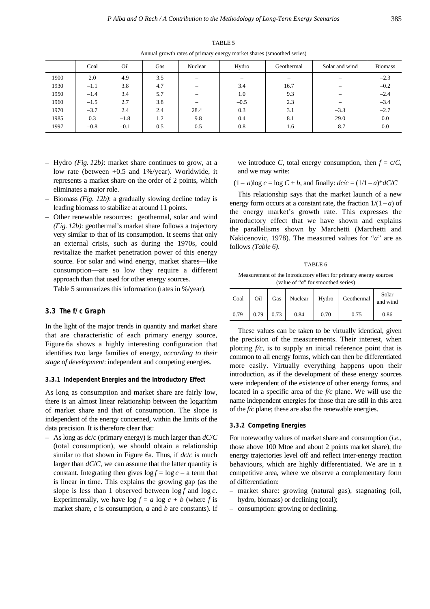|      | Coal   | Oil    | Gas | Nuclear                  | Hydro  | Geothermal | Solar and wind | <b>Biomass</b> |
|------|--------|--------|-----|--------------------------|--------|------------|----------------|----------------|
| 1900 | 2.0    | 4.9    | 3.5 | $\overline{\phantom{0}}$ |        |            |                | $-2.3$         |
| 1930 | $-1.1$ | 3.8    | 4.7 |                          | 3.4    | 16.7       |                | $-0.2$         |
| 1950 | $-1.4$ | 3.4    | 5.7 |                          | 1.0    | 9.3        |                | $-2.4$         |
| 1960 | $-1.5$ | 2.7    | 3.8 |                          | $-0.5$ | 2.3        |                | $-3.4$         |
| 1970 | $-3.7$ | 2.4    | 2.4 | 28.4                     | 0.3    | 3.1        | $-3.3$         | $-2.7$         |
| 1985 | 0.3    | $-1.8$ | 1.2 | 9.8                      | 0.4    | 8.1        | 29.0           | $0.0\,$        |
| 1997 | $-0.8$ | $-0.1$ | 0.5 | 0.5                      | 0.8    | 1.6        | 8.7            | 0.0            |

TABLE 5 Annual growth rates of primary energy market shares (smoothed series)

- Hydro *(Fig. 12b)*: market share continues to grow, at a low rate (between +0.5 and 1%/year). Worldwide, it represents a market share on the order of 2 points, which eliminates a major role.
- Biomass *(Fig. 12b)*: a gradually slowing decline today is leading biomass to stabilize at around 11 points.
- Other renewable resources: geothermal, solar and wind *(Fig. 12b)*: geothermal's market share follows a trajectory very similar to that of its consumption. It seems that only an external crisis, such as during the 1970s, could revitalize the market penetration power of this energy source. For solar and wind energy, market shares—like consumption—are so low they require a different approach than that used for other energy sources.

Table 5 summarizes this information (rates in %/year).

## **3.3 The** *f/c* **Graph**

In the light of the major trends in quantity and market share that are characteristic of each primary energy source, Figure 6a shows a highly interesting configuration that identifies two large families of energy, *according to their stage of development*: independent and competing energies.

#### **3.3.1 Independent Energies and the Introductory Effect**

As long as consumption and market share are fairly low, there is an almost linear relationship between the logarithm of market share and that of consumption. The slope is independent of the energy concerned, within the limits of the data precision. It is therefore clear that:

– As long as *dc*/*c* (primary energy) is much larger than *dC*/*C* (total consumption), we should obtain a relationship similar to that shown in Figure 6a. Thus, if *dc*/*c* is much larger than  $dC/C$ , we can assume that the latter quantity is constant. Integrating then gives  $\log f = \log c - a$  term that is linear in time. This explains the growing gap (as the slope is less than 1 observed between log *f* and log *c*. Experimentally, we have  $\log f = a \log c + b$  (where *f* is market share, *c* is consumption, *a* and *b* are constants). If we introduce *C*, total energy consumption, then  $f = c/C$ , and we may write:

 $(1 - a)\log c = \log C + b$ , and finally:  $dc/c = (1/1 - a)*dC/C$ 

This relationship says that the market launch of a new energy form occurs at a constant rate, the fraction  $1/(1-a)$  of the energy market's growth rate. This expresses the introductory effect that we have shown and explains the parallelisms shown by Marchetti (Marchetti and Nakicenovic, 1978). The measured values for "*a*" are as follows *(Table 6)*.

#### TABLE 6

Measurement of the introductory effect for primary energy sources (value of "*a*" for smoothed series)

| Coal | Oil  | Gas  | Nuclear | Hydro | Geothermal | Solar<br>and wind |
|------|------|------|---------|-------|------------|-------------------|
| 0.79 | 0.79 | 0.73 | 0.84    | 0.70  | 0.75       | 0.86              |

These values can be taken to be virtually identical, given the precision of the measurements. Their interest, when plotting *f/c*, is to supply an initial reference point that is common to all energy forms, which can then be differentiated more easily. Virtually everything happens upon their introduction, as if the development of these energy sources were independent of the existence of other energy forms, and located in a specific area of the *f/c* plane. We will use the name independent energies for those that are still in this area of the *f/c* plane; these are also the renewable energies.

#### **3.3.2 Competing Energies**

For noteworthy values of market share and consumption (*i.e.*, those above 100 Mtoe and about 2 points market share), the energy trajectories level off and reflect inter-energy reaction behaviours, which are highly differentiated. We are in a competitive area, where we observe a complementary form of differentiation:

- market share: growing (natural gas), stagnating (oil, hydro, biomass) or declining (coal);
- consumption: growing or declining.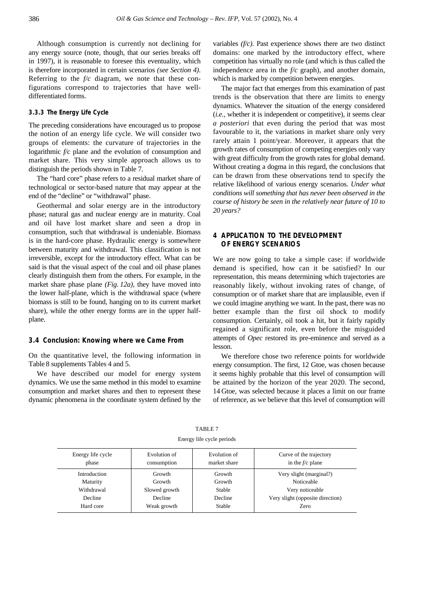Although consumption is currently not declining for any energy source (note, though, that our series breaks off in 1997), it is reasonable to foresee this eventuality, which is therefore incorporated in certain scenarios *(see Section 4)*. Referring to the *f/c* diagram, we note that these configurations correspond to trajectories that have welldifferentiated forms.

#### **3.3.3 The Energy Life Cycle**

The preceding considerations have encouraged us to propose the notion of an energy life cycle. We will consider two groups of elements: the curvature of trajectories in the logarithmic *f/c* plane and the evolution of consumption and market share. This very simple approach allows us to distinguish the periods shown in Table 7.

The "hard core" phase refers to a residual market share of technological or sector-based nature that may appear at the end of the "decline" or "withdrawal" phase.

Geothermal and solar energy are in the introductory phase; natural gas and nuclear energy are in maturity. Coal and oil have lost market share and seen a drop in consumption, such that withdrawal is undeniable. Biomass is in the hard-core phase. Hydraulic energy is somewhere between maturity and withdrawal. This classification is not irreversible, except for the introductory effect. What can be said is that the visual aspect of the coal and oil phase planes clearly distinguish them from the others. For example, in the market share phase plane *(Fig. 12a)*, they have moved into the lower half-plane, which is the withdrawal space (where biomass is still to be found, hanging on to its current market share), while the other energy forms are in the upper halfplane.

### **3.4 Conclusion: Knowing where we Came From**

On the quantitative level, the following information in Table 8 supplements Tables 4 and 5.

We have described our model for energy system dynamics. We use the same method in this model to examine consumption and market shares and then to represent these dynamic phenomena in the coordinate system defined by the

variables *(f/c)*. Past experience shows there are two distinct domains: one marked by the introductory effect, where competition has virtually no role (and which is thus called the independence area in the *f/c* graph), and another domain, which is marked by competition between energies.

The major fact that emerges from this examination of past trends is the observation that there are limits to energy dynamics. Whatever the situation of the energy considered (*i.e.*, whether it is independent or competitive), it seems clear *a posteriori* that even during the period that was most favourable to it, the variations in market share only very rarely attain 1 point/year. Moreover, it appears that the growth rates of consumption of competing energies only vary with great difficulty from the growth rates for global demand. Without creating a dogma in this regard, the conclusions that can be drawn from these observations tend to specify the relative likelihood of various energy scenarios. *Under what conditions will something that has never been observed in the course of history be seen in the relatively near future of 10 to 20 years?*

## **4 APPLICATION TO THE DEVELOPMENT OF ENERGY SCENARIOS**

We are now going to take a simple case: if worldwide demand is specified, how can it be satisfied? In our representation, this means determining which trajectories are reasonably likely, without invoking rates of change, of consumption or of market share that are implausible, even if we could imagine anything we want. In the past, there was no better example than the first oil shock to modify consumption. Certainly, oil took a hit, but it fairly rapidly regained a significant role, even before the misguided attempts of *Opec* restored its pre-eminence and served as a lesson.

We therefore chose two reference points for worldwide energy consumption. The first, 12 Gtoe, was chosen because it seems highly probable that this level of consumption will be attained by the horizon of the year 2020. The second, 14 Gtoe, was selected because it places a limit on our frame of reference, as we believe that this level of consumption will

| Energy life cycle   | Evolution of  | Evolution of  | Curve of the trajectory          |
|---------------------|---------------|---------------|----------------------------------|
| phase               | consumption   | market share  | in the $f/c$ plane               |
| <b>Introduction</b> | Growth        | Growth        | Very slight (marginal?)          |
| Maturity            | Growth        | Growth        | Noticeable                       |
| Withdrawal          | Slowed growth | <b>Stable</b> | Very noticeable                  |
| Decline             | Decline       | Decline       | Very slight (opposite direction) |
| Hard core           | Weak growth   | <b>Stable</b> | Zero                             |

TABLE 7 Energy life cycle periods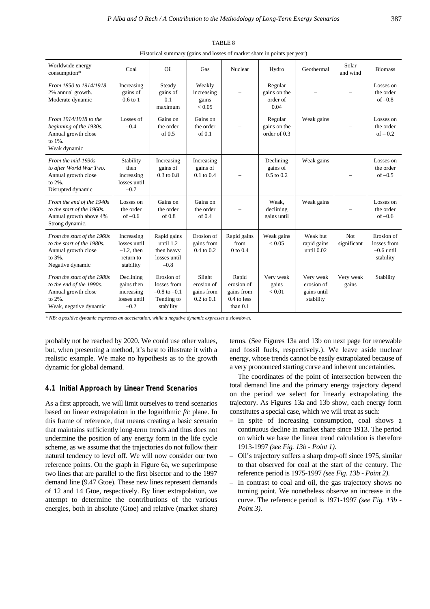| Worldwide energy<br>consumption*                                                                                   | Coal                                                                  | Oil                                                                      | Gas                                                  | Nuclear                                                        | Hydro                                       | Geothermal                                          | Solar<br>and wind         | <b>Biomass</b>                                         |
|--------------------------------------------------------------------------------------------------------------------|-----------------------------------------------------------------------|--------------------------------------------------------------------------|------------------------------------------------------|----------------------------------------------------------------|---------------------------------------------|-----------------------------------------------------|---------------------------|--------------------------------------------------------|
| From 1850 to 1914/1918.<br>2% annual growth.<br>Moderate dynamic                                                   | Increasing<br>gains of<br>$0.6$ to $1$                                | Steady<br>gains of<br>0.1<br>maximum                                     | Weakly<br>increasing<br>gains<br>< 0.05              |                                                                | Regular<br>gains on the<br>order of<br>0.04 |                                                     |                           | Losses on<br>the order<br>of $-0.8$                    |
| From 1914/1918 to the<br>beginning of the 1930s.<br>Annual growth close<br>to 1%.<br>Weak dynamic                  | Losses of<br>$-0.4$                                                   | Gains on<br>the order<br>of 0.5                                          | Gains on<br>the order<br>of 0.1                      |                                                                | Regular<br>gains on the<br>order of 0.3     | Weak gains                                          |                           | Losses on<br>the order<br>of $-0.2$                    |
| From the mid-1930s<br>to after World War Two.<br>Annual growth close<br>to 2%.<br>Disrupted dynamic                | Stability<br>then<br>increasing<br>losses until<br>$-0.7$             | Increasing<br>gains of<br>$0.3$ to $0.8$                                 | Increasing<br>gains of<br>$0.1$ to $0.4$             |                                                                | Declining<br>gains of<br>$0.5$ to $0.2$     | Weak gains                                          |                           | Losses on<br>the order<br>of $-0.5$                    |
| From the end of the 1940s<br>to the start of the 1960s.<br>Annual growth above 4%<br>Strong dynamic.               | Losses on<br>the order<br>of $-0.6$                                   | Gains on<br>the order<br>of 0.8                                          | Gains on<br>the order<br>of 0.4                      |                                                                | Weak,<br>declining<br>gains until           | Weak gains                                          |                           | Losses on<br>the order<br>of $-0.6$                    |
| From the start of the 1960s<br>to the start of the 1980s.<br>Annual growth close<br>to 3%.<br>Negative dynamic     | Increasing<br>losses until<br>$-1.2$ , then<br>return to<br>stability | Rapid gains<br>until 1.2<br>then heavy<br>losses until<br>$-0.8$         | Erosion of<br>gains from<br>$0.4$ to $0.2$           | Rapid gains<br>from<br>$0$ to $0.4$                            | Weak gains<br>< 0.05                        | Weak but<br>rapid gains<br>until 0.02               | <b>Not</b><br>significant | Erosion of<br>losses from<br>$-0.6$ until<br>stability |
| From the start of the 1980s<br>to the end of the 1990s.<br>Annual growth close<br>to 2%.<br>Weak, negative dynamic | Declining<br>gains then<br>increasing<br>losses until<br>$-0.2$       | Erosion of<br>losses from<br>$-0.8$ to $-0.1$<br>Tending to<br>stability | Slight<br>erosion of<br>gains from<br>$0.2$ to $0.1$ | Rapid<br>erosion of<br>gains from<br>0.4 to less<br>than $0.1$ | Very weak<br>gains<br>< 0.01                | Very weak<br>erosion of<br>gains until<br>stability | Very weak<br>gains        | Stability                                              |

TABLE 8

Historical summary (gains and losses of market share in points per year)

*\* NB: a positive dynamic expresses an acceleration, while a negative dynamic expresses a slowdown.* 

probably not be reached by 2020. We could use other values, but, when presenting a method, it's best to illustrate it with a realistic example. We make no hypothesis as to the growth dynamic for global demand.

#### **4.1 Initial Approach by Linear Trend Scenarios**

As a first approach, we will limit ourselves to trend scenarios based on linear extrapolation in the logarithmic *f/c* plane. In this frame of reference, that means creating a basic scenario that maintains sufficiently long-term trends and thus does not undermine the position of any energy form in the life cycle scheme, as we assume that the trajectories do not follow their natural tendency to level off. We will now consider our two reference points. On the graph in Figure 6a, we superimpose two lines that are parallel to the first bisector and to the 1997 demand line (9.47 Gtoe). These new lines represent demands of 12 and 14 Gtoe, respectively. By liner extrapolation, we attempt to determine the contributions of the various energies, both in absolute (Gtoe) and relative (market share) terms. (See Figures 13a and 13b on next page for renewable and fossil fuels, respectively.). We leave aside nuclear energy, whose trends cannot be easily extrapolated because of a very pronounced starting curve and inherent uncertainties.

The coordinates of the point of intersection between the total demand line and the primary energy trajectory depend on the period we select for linearly extrapolating the trajectory. As Figures 13a and 13b show, each energy form constitutes a special case, which we will treat as such:

- In spite of increasing consumption, coal shows a continuous decline in market share since 1913. The period on which we base the linear trend calculation is therefore 1913-1997 *(see Fig. 13b - Point 1)*.
- Oil's trajectory suffers a sharp drop-off since 1975, similar to that observed for coal at the start of the century. The reference period is 1975-1997 *(see Fig. 13b - Point 2)*.
- In contrast to coal and oil, the gas trajectory shows no turning point. We nonetheless observe an increase in the curve. The reference period is 1971-1997 *(see Fig. 13b - Point 3)*.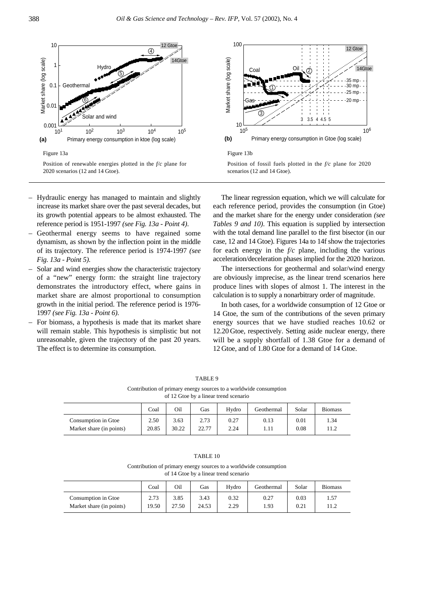

2020 scenarios (12 and 14 Gtoe).

Gas Coal  $10^5$  and  $10^6$  $10\frac{1}{10^5}$ Primary energy consumption in Gtoe (log scale) 2 1 3  $14($ 35 mp 30 mp  $-20$  mp $25$  mp- $3.544.5$ Figure 13b Position of fossil fuels plotted in the *f/c* plane for 2020 scenarios (12 and 14 Gtoe).

12 Gtoe

- Hydraulic energy has managed to maintain and slightly increase its market share over the past several decades, but its growth potential appears to be almost exhausted. The reference period is 1951-1997 *(see Fig. 13a - Point 4)*.
- Geothermal energy seems to have regained some dynamism, as shown by the inflection point in the middle of its trajectory. The reference period is 1974-1997 *(see Fig. 13a - Point 5)*.
- Solar and wind energies show the characteristic trajectory of a "new" energy form: the straight line trajectory demonstrates the introductory effect, where gains in market share are almost proportional to consumption growth in the initial period. The reference period is 1976- 1997 *(see Fig. 13a - Point 6)*.
- For biomass, a hypothesis is made that its market share will remain stable. This hypothesis is simplistic but not unreasonable, given the trajectory of the past 20 years. The effect is to determine its consumption.

The linear regression equation, which we will calculate for each reference period, provides the consumption (in Gtoe) and the market share for the energy under consideration *(see Tables 9 and 10)*. This equation is supplied by intersection with the total demand line parallel to the first bisector (in our case, 12 and 14 Gtoe). Figures 14a to 14f show the trajectories for each energy in the *f/c* plane, including the various acceleration/deceleration phases implied for the 2020 horizon.

The intersections for geothermal and solar/wind energy are obviously imprecise, as the linear trend scenarios here produce lines with slopes of almost 1. The interest in the calculation is to supply a nonarbitrary order of magnitude.

In both cases, for a worldwide consumption of 12 Gtoe or 14 Gtoe, the sum of the contributions of the seven primary energy sources that we have studied reaches 10.62 or 12.20 Gtoe, respectively. Setting aside nuclear energy, there will be a supply shortfall of 1.38 Gtoe for a demand of 12 Gtoe, and of 1.80 Gtoe for a demand of 14 Gtoe.

|                     |      |      |      | of 12 Gtoe by a linear trend scenario | Contribution of primary energy sources to a worldwide consumption |       |                |
|---------------------|------|------|------|---------------------------------------|-------------------------------------------------------------------|-------|----------------|
|                     | Coal | Oil  | Gas  | Hydro                                 | Geothermal                                                        | Solar | <b>Biomass</b> |
| Consumption in Gtoe | 2.50 | 3.63 | 2.73 | 0.27                                  | 0.13                                                              | 0.01  | 1.34           |

TABLE 9

Market share (in points) 20.85 30.22 22.77 2.24 1.11 0.08 11.2

Contribution of primary energy sources to a worldwide consumption of 14 Gtoe by a linear trend scenario

|                          | Coal  | Oil   | Gas   | Hydro | Geothermal | Solar | <b>Biomass</b> |
|--------------------------|-------|-------|-------|-------|------------|-------|----------------|
| Consumption in Gtoe      | 2.73  | 3.85  | 3.43  | 0.32  | 0.27       | 0.03  | 1.57           |
| Market share (in points) | 19.50 | 27.50 | 24.53 | 2.29  | 1.93       | 0.21  | 11.2           |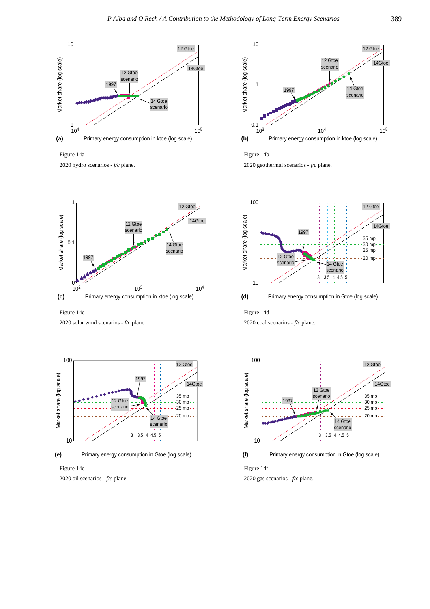

Figure 14a

2020 hydro scenarios - *f/c* plane.



Figure 14c

2020 solar wind scenarios - *f/c* plane.



Primary energy consumption in Gtoe (log scale) **(e)**

## Figure 14e

2020 oil scenarios - *f/c* plane.



Figure 14b

2020 geothermal scenarios - *f/c* plane.





## Figure 14d

2020 coal scenarios - *f/c* plane.



Primary energy consumption in Gtoe (log scale) **(f)**

Figure 14f 2020 gas scenarios - *f/c* plane.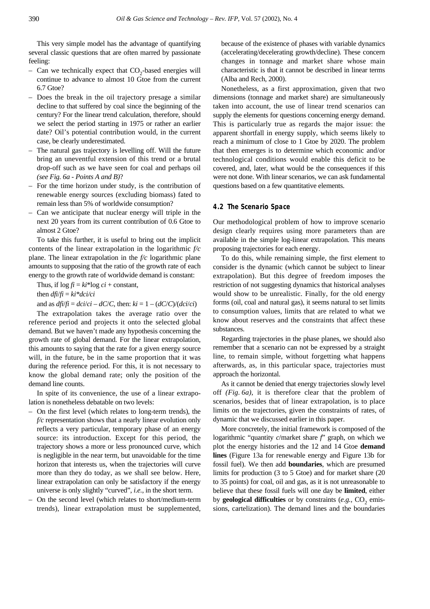This very simple model has the advantage of quantifying several classic questions that are often marred by passionate feeling:

- Can we technically expect that  $CO<sub>2</sub>$ -based energies will continue to advance to almost 10 Gtoe from the current 6.7 Gtoe?
- Does the break in the oil trajectory presage a similar decline to that suffered by coal since the beginning of the century? For the linear trend calculation, therefore, should we select the period starting in 1975 or rather an earlier date? Oil's potential contribution would, in the current case, be clearly underestimated.
- The natural gas trajectory is levelling off. Will the future bring an uneventful extension of this trend or a brutal drop-off such as we have seen for coal and perhaps oil *(see Fig. 6a - Points A and B)*?
- For the time horizon under study, is the contribution of renewable energy sources (excluding biomass) fated to remain less than 5% of worldwide consumption?
- Can we anticipate that nuclear energy will triple in the next 20 years from its current contribution of 0.6 Gtoe to almost 2 Gtoe?

To take this further, it is useful to bring out the implicit contents of the linear extrapolation in the logarithmic *f/c* plane. The linear extrapolation in the *f/c* logarithmic plane amounts to supposing that the ratio of the growth rate of each energy to the growth rate of worldwide demand is constant:

Thus, if  $\log f i = ki^* \log ci + constant$ ,

then  $df\hat{i}/\hat{i} = ki *dci/c\hat{i}$ 

and as  $dfi/\overline{i} = dci/ci - dC/C$ , then:  $ki = 1 - (dC/C)/(dci/ci)$ 

The extrapolation takes the average ratio over the reference period and projects it onto the selected global demand. But we haven't made any hypothesis concerning the growth rate of global demand. For the linear extrapolation, this amounts to saying that the rate for a given energy source will, in the future, be in the same proportion that it was during the reference period. For this, it is not necessary to know the global demand rate; only the position of the demand line counts.

In spite of its convenience, the use of a linear extrapolation is nonetheless debatable on two levels:

- On the first level (which relates to long-term trends), the *f/c* representation shows that a nearly linear evolution only reflects a very particular, temporary phase of an energy source: its introduction. Except for this period, the trajectory shows a more or less pronounced curve, which is negligible in the near term, but unavoidable for the time horizon that interests us, when the trajectories will curve more than they do today, as we shall see below. Here, linear extrapolation can only be satisfactory if the energy universe is only slightly "curved", *i.e.*, in the short term.
- On the second level (which relates to short/medium-term trends), linear extrapolation must be supplemented,

because of the existence of phases with variable dynamics (accelerating/decelerating growth/decline). These concern changes in tonnage and market share whose main characteristic is that it cannot be described in linear terms (Alba and Rech, 2000).

Nonetheless, as a first approximation, given that two dimensions (tonnage and market share) are simultaneously taken into account, the use of linear trend scenarios can supply the elements for questions concerning energy demand. This is particularly true as regards the major issue: the apparent shortfall in energy supply, which seems likely to reach a minimum of close to 1 Gtoe by 2020. The problem that then emerges is to determine which economic and/or technological conditions would enable this deficit to be covered, and, later, what would be the consequences if this were not done. With linear scenarios, we can ask fundamental questions based on a few quantitative elements.

## **4.2 The Scenario Space**

Our methodological problem of how to improve scenario design clearly requires using more parameters than are available in the simple log-linear extrapolation. This means proposing trajectories for each energy.

To do this, while remaining simple, the first element to consider is the dynamic (which cannot be subject to linear extrapolation). But this degree of freedom imposes the restriction of not suggesting dynamics that historical analyses would show to be unrealistic. Finally, for the old energy forms (oil, coal and natural gas), it seems natural to set limits to consumption values, limits that are related to what we know about reserves and the constraints that affect these substances.

Regarding trajectories in the phase planes, we should also remember that a scenario can not be expressed by a straight line, to remain simple, without forgetting what happens afterwards, as, in this particular space, trajectories must approach the horizontal.

As it cannot be denied that energy trajectories slowly level off *(Fig. 6a)*, it is therefore clear that the problem of scenarios, besides that of linear extrapolation, is to place limits on the trajectories, given the constraints of rates, of dynamic that we discussed earlier in this paper.

More concretely, the initial framework is composed of the logarithmic "quantity *c*/market share *f*" graph, on which we plot the energy histories and the 12 and 14 Gtoe **demand lines** (Figure 13a for renewable energy and Figure 13b for fossil fuel). We then add **boundaries**, which are presumed limits for production (3 to 5 Gtoe) and for market share (20 to 35 points) for coal, oil and gas, as it is not unreasonable to believe that these fossil fuels will one day be **limited**, either by **geological difficulties** or by constraints (e.g., CO<sub>2</sub> emissions, cartelization). The demand lines and the boundaries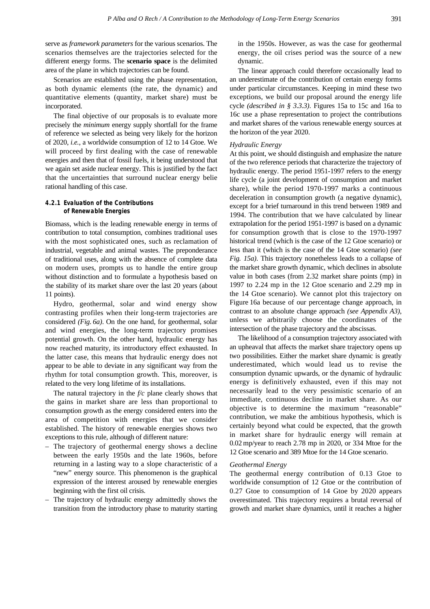serve as *framework parameters* for the various scenarios. The scenarios themselves are the trajectories selected for the different energy forms. The **scenario space** is the delimited area of the plane in which trajectories can be found.

Scenarios are established using the phase representation, as both dynamic elements (the rate, the dynamic) and quantitative elements (quantity, market share) must be incorporated.

The final objective of our proposals is to evaluate more precisely the *minimum* energy supply shortfall for the frame of reference we selected as being very likely for the horizon of 2020, *i.e.*, a worldwide consumption of 12 to 14 Gtoe. We will proceed by first dealing with the case of renewable energies and then that of fossil fuels, it being understood that we again set aside nuclear energy. This is justified by the fact that the uncertainties that surround nuclear energy belie rational handling of this case.

## **4.2.1 Evaluation of the Contributions of Renewable Energies**

Biomass, which is the leading renewable energy in terms of contribution to total consumption, combines traditional uses with the most sophisticated ones, such as reclamation of industrial, vegetable and animal wastes. The preponderance of traditional uses, along with the absence of complete data on modern uses, prompts us to handle the entire group without distinction and to formulate a hypothesis based on the stability of its market share over the last 20 years (about 11 points).

Hydro, geothermal, solar and wind energy show contrasting profiles when their long-term trajectories are considered *(Fig. 6a)*. On the one hand, for geothermal, solar and wind energies, the long-term trajectory promises potential growth. On the other hand, hydraulic energy has now reached maturity, its introductory effect exhausted. In the latter case, this means that hydraulic energy does not appear to be able to deviate in any significant way from the rhythm for total consumption growth. This, moreover, is related to the very long lifetime of its installations.

The natural trajectory in the *f/c* plane clearly shows that the gains in market share are less than proportional to consumption growth as the energy considered enters into the area of competition with energies that we consider established. The history of renewable energies shows two exceptions to this rule, although of different nature:

- The trajectory of geothermal energy shows a decline between the early 1950s and the late 1960s, before returning in a lasting way to a slope characteristic of a "new" energy source. This phenomenon is the graphical expression of the interest aroused by renewable energies beginning with the first oil crisis.
- The trajectory of hydraulic energy admittedly shows the transition from the introductory phase to maturity starting

in the 1950s. However, as was the case for geothermal energy, the oil crises period was the source of a new dynamic.

The linear approach could therefore occasionally lead to an underestimate of the contribution of certain energy forms under particular circumstances. Keeping in mind these two exceptions, we build our proposal around the energy life cycle *(described in § 3.3.3)*. Figures 15a to 15c and 16a to 16c use a phase representation to project the contributions and market shares of the various renewable energy sources at the horizon of the year 2020.

#### *Hydraulic Energy*

At this point, we should distinguish and emphasize the nature of the two reference periods that characterize the trajectory of hydraulic energy. The period 1951-1997 refers to the energy life cycle (a joint development of consumption and market share), while the period 1970-1997 marks a continuous deceleration in consumption growth (a negative dynamic), except for a brief turnaround in this trend between 1989 and 1994. The contribution that we have calculated by linear extrapolation for the period 1951-1997 is based on a dynamic for consumption growth that is close to the 1970-1997 historical trend (which is the case of the 12 Gtoe scenario) or less than it (which is the case of the 14 Gtoe scenario) *(see Fig. 15a)*. This trajectory nonetheless leads to a collapse of the market share growth dynamic, which declines in absolute value in both cases (from 2.32 market share points (mp) in 1997 to 2.24 mp in the 12 Gtoe scenario and 2.29 mp in the 14 Gtoe scenario). We cannot plot this trajectory on Figure 16a because of our percentage change approach, in contrast to an absolute change approach *(see Appendix A3)*, unless we arbitrarily choose the coordinates of the intersection of the phase trajectory and the abscissas.

The likelihood of a consumption trajectory associated with an upheaval that affects the market share trajectory opens up two possibilities. Either the market share dynamic is greatly underestimated, which would lead us to revise the consumption dynamic upwards, or the dynamic of hydraulic energy is definitively exhausted, even if this may not necessarily lead to the very pessimistic scenario of an immediate, continuous decline in market share. As our objective is to determine the maximum "reasonable" contribution, we make the ambitious hypothesis, which is certainly beyond what could be expected, that the growth in market share for hydraulic energy will remain at 0.02 mp/year to reach 2.78 mp in 2020, or 334 Mtoe for the 12 Gtoe scenario and 389 Mtoe for the 14 Gtoe scenario.

#### *Geothermal Energy*

The geothermal energy contribution of 0.13 Gtoe to worldwide consumption of 12 Gtoe or the contribution of 0.27 Gtoe to consumption of 14 Gtoe by 2020 appears overestimated. This trajectory requires a brutal reversal of growth and market share dynamics, until it reaches a higher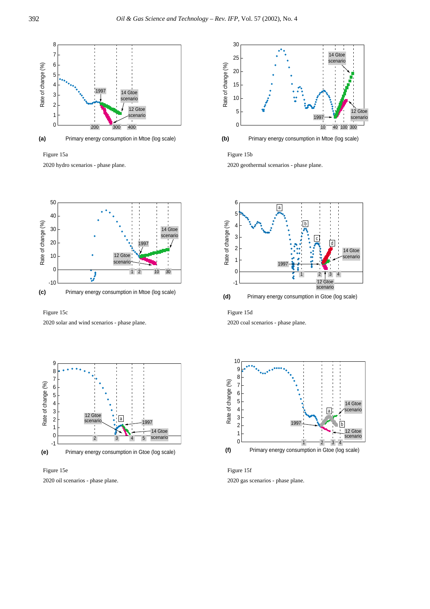

Primary energy consumption in Mtoe (log scale) **(a)**

Figure 15a



Figure 15c

2020 solar and wind scenarios - phase plane.



Figure 15e



Primary energy consumption in Mtoe (log scale) **(b)**

Figure 15b

2020 geothermal scenarios - phase plane.



**(d)** Primary energy consumption in Gtoe (log scale)

### Figure 15d

2020 coal scenarios - phase plane.



Figure 15f 2020 gas scenarios - phase plane.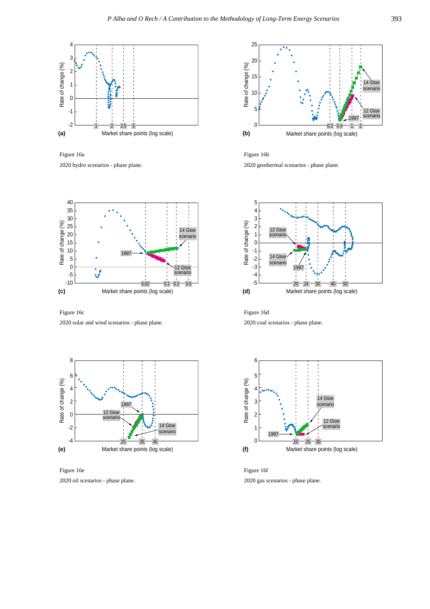

Figure 16a



Figure 16c



Figure 16e



Figure 16b

2020 geothermal scenarios - phase plane.



Figure 16d 2020 coal scenarios - phase plane.



Figure 16f 2020 gas scenarios - phase plane.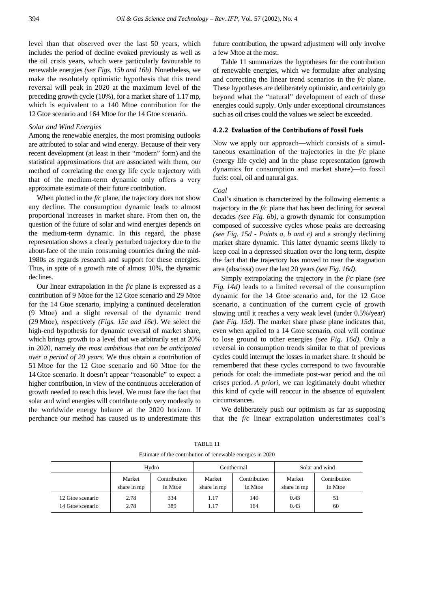level than that observed over the last 50 years, which includes the period of decline evoked previously as well as the oil crisis years, which were particularly favourable to renewable energies *(see Figs. 15b and 16b)*. Nonetheless, we make the resolutely optimistic hypothesis that this trend reversal will peak in 2020 at the maximum level of the preceding growth cycle (10%), for a market share of 1.17 mp, which is equivalent to a 140 Mtoe contribution for the 12 Gtoe scenario and 164 Mtoe for the 14 Gtoe scenario.

#### *Solar and Wind Energies*

Among the renewable energies, the most promising outlooks are attributed to solar and wind energy. Because of their very recent development (at least in their "modern" form) and the statistical approximations that are associated with them, our method of correlating the energy life cycle trajectory with that of the medium-term dynamic only offers a very approximate estimate of their future contribution.

When plotted in the *f/c* plane, the trajectory does not show any decline. The consumption dynamic leads to almost proportional increases in market share. From then on, the question of the future of solar and wind energies depends on the medium-term dynamic. In this regard, the phase representation shows a clearly perturbed trajectory due to the about-face of the main consuming countries during the mid-1980s as regards research and support for these energies. Thus, in spite of a growth rate of almost 10%, the dynamic declines.

Our linear extrapolation in the *f/c* plane is expressed as a contribution of 9 Mtoe for the 12 Gtoe scenario and 29 Mtoe for the 14 Gtoe scenario, implying a continued deceleration (9 Mtoe) and a slight reversal of the dynamic trend (29 Mtoe), respectively *(Figs. 15c and 16c)*. We select the high-end hypothesis for dynamic reversal of market share, which brings growth to a level that we arbitrarily set at 20% in 2020, namely *the most ambitious that can be anticipated over a period of 20 years.* We thus obtain a contribution of 51 Mtoe for the 12 Gtoe scenario and 60 Mtoe for the 14 Gtoe scenario. It doesn't appear "reasonable" to expect a higher contribution, in view of the continuous acceleration of growth needed to reach this level. We must face the fact that solar and wind energies will contribute only very modestly to the worldwide energy balance at the 2020 horizon. If perchance our method has caused us to underestimate this

future contribution, the upward adjustment will only involve a few Mtoe at the most.

Table 11 summarizes the hypotheses for the contribution of renewable energies, which we formulate after analysing and correcting the linear trend scenarios in the *f/c* plane. These hypotheses are deliberately optimistic, and certainly go beyond what the "natural" development of each of these energies could supply. Only under exceptional circumstances such as oil crises could the values we select be exceeded.

## **4.2.2 Evaluation of the Contributions of Fossil Fuels**

Now we apply our approach—which consists of a simultaneous examination of the trajectories in the *f/c* plane (energy life cycle) and in the phase representation (growth dynamics for consumption and market share)—to fossil fuels: coal, oil and natural gas.

#### *Coal*

Coal's situation is characterized by the following elements: a trajectory in the *f/c* plane that has been declining for several decades *(see Fig. 6b)*, a growth dynamic for consumption composed of successive cycles whose peaks are decreasing *(see Fig. 15d - Points a, b and c)* and a strongly declining market share dynamic. This latter dynamic seems likely to keep coal in a depressed situation over the long term, despite the fact that the trajectory has moved to near the stagnation area (abscissa) over the last 20 years *(see Fig. 16d)*.

Simply extrapolating the trajectory in the *f/c* plane *(see Fig. 14d)* leads to a limited reversal of the consumption dynamic for the 14 Gtoe scenario and, for the 12 Gtoe scenario, a continuation of the current cycle of growth slowing until it reaches a very weak level (under 0.5%/year) *(see Fig. 15d)*. The market share phase plane indicates that, even when applied to a 14 Gtoe scenario, coal will continue to lose ground to other energies *(see Fig. 16d)*. Only a reversal in consumption trends similar to that of previous cycles could interrupt the losses in market share. It should be remembered that these cycles correspond to two favourable periods for coal: the immediate post-war period and the oil crises period. *A priori*, we can legitimately doubt whether this kind of cycle will reoccur in the absence of equivalent circumstances.

We deliberately push our optimism as far as supposing that the *f/c* linear extrapolation underestimates coal's

|                                      |                       | Hydro                   |                                                  | Geothermal | Solar and wind                                   |          |  |
|--------------------------------------|-----------------------|-------------------------|--------------------------------------------------|------------|--------------------------------------------------|----------|--|
|                                      | Market<br>share in mp | Contribution<br>in Mtoe | Market<br>Contribution<br>share in mp<br>in Mtoe |            | Market<br>Contribution<br>share in mp<br>in Mtoe |          |  |
| 12 Gtoe scenario<br>14 Gtoe scenario | 2.78<br>2.78          | 334<br>389              | 1.17<br>1.17                                     | 140<br>164 | 0.43<br>0.43                                     | 51<br>60 |  |

TABLE 11 Estimate of the contribution of renewable energies in 2020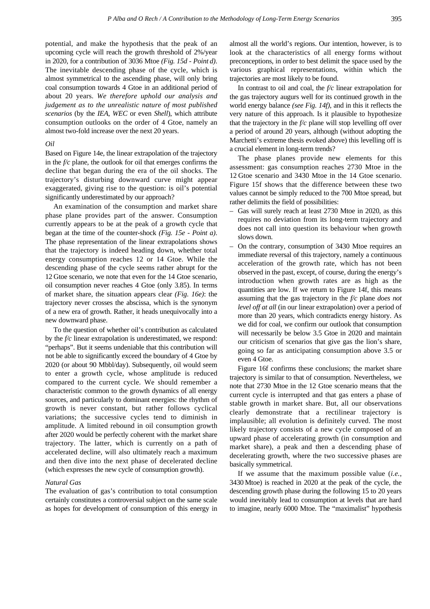potential, and make the hypothesis that the peak of an upcoming cycle will reach the growth threshold of 2%/year in 2020, for a contribution of 3036 Mtoe *(Fig. 15d - Point d)*. The inevitable descending phase of the cycle, which is almost symmetrical to the ascending phase, will only bring coal consumption towards 4 Gtoe in an additional period of about 20 years. *We therefore uphold our analysis and judgement as to the unrealistic nature of most published scenarios* (by the *IEA*, *WEC* or even *Shell*), which attribute consumption outlooks on the order of 4 Gtoe, namely an almost two-fold increase over the next 20 years.

#### *Oil*

Based on Figure 14e, the linear extrapolation of the trajectory in the *f/c* plane, the outlook for oil that emerges confirms the decline that began during the era of the oil shocks. The trajectory's disturbing downward curve might appear exaggerated, giving rise to the question: is oil's potential significantly underestimated by our approach?

An examination of the consumption and market share phase plane provides part of the answer. Consumption currently appears to be at the peak of a growth cycle that began at the time of the counter-shock *(Fig. 15e - Point a)*. The phase representation of the linear extrapolations shows that the trajectory is indeed heading down, whether total energy consumption reaches 12 or 14 Gtoe. While the descending phase of the cycle seems rather abrupt for the 12 Gtoe scenario, we note that even for the 14 Gtoe scenario, oil consumption never reaches 4 Gtoe (only 3.85). In terms of market share, the situation appears clear *(Fig. 16e)*: the trajectory never crosses the abscissa, which is the synonym of a new era of growth. Rather, it heads unequivocally into a new downward phase.

To the question of whether oil's contribution as calculated by the *f/c* linear extrapolation is underestimated, we respond: "perhaps". But it seems undeniable that this contribution will not be able to significantly exceed the boundary of 4 Gtoe by 2020 (or about 90 Mbbl/day). Subsequently, oil would seem to enter a growth cycle, whose amplitude is reduced compared to the current cycle. We should remember a characteristic common to the growth dynamics of all energy sources, and particularly to dominant energies: the rhythm of growth is never constant, but rather follows cyclical variations; the successive cycles tend to diminish in amplitude. A limited rebound in oil consumption growth after 2020 would be perfectly coherent with the market share trajectory. The latter, which is currently on a path of accelerated decline, will also ultimately reach a maximum and then dive into the next phase of decelerated decline (which expresses the new cycle of consumption growth).

#### *Natural Gas*

The evaluation of gas's contribution to total consumption certainly constitutes a controversial subject on the same scale as hopes for development of consumption of this energy in almost all the world's regions. Our intention, however, is to look at the characteristics of all energy forms without preconceptions, in order to best delimit the space used by the various graphical representations, within which the trajectories are most likely to be found.

In contrast to oil and coal, the *f/c* linear extrapolation for the gas trajectory augurs well for its continued growth in the world energy balance *(see Fig. 14f)*, and in this it reflects the very nature of this approach. Is it plausible to hypothesize that the trajectory in the *f/c* plane will stop levelling off over a period of around 20 years, although (without adopting the Marchetti's extreme thesis evoked above) this levelling off is a crucial element in long-term trends?

The phase planes provide new elements for this assessment: gas consumption reaches 2730 Mtoe in the 12 Gtoe scenario and 3430 Mtoe in the 14 Gtoe scenario. Figure 15f shows that the difference between these two values cannot be simply reduced to the 700 Mtoe spread, but rather delimits the field of possibilities:

- Gas will surely reach at least 2730 Mtoe in 2020, as this requires no deviation from its long-term trajectory and does not call into question its behaviour when growth slows down.
- On the contrary, consumption of 3430 Mtoe requires an immediate reversal of this trajectory, namely a continuous acceleration of the growth rate, which has not been observed in the past, except, of course, during the energy's introduction when growth rates are as high as the quantities are low. If we return to Figure 14f, this means assuming that the gas trajectory in the *f/c* plane *does not level off at all* (in our linear extrapolation) over a period of more than 20 years, which contradicts energy history. As we did for coal, we confirm our outlook that consumption will necessarily be below 3.5 Gtoe in 2020 and maintain our criticism of scenarios that give gas the lion's share, going so far as anticipating consumption above 3.5 or even 4 Gtoe.

Figure 16f confirms these conclusions; the market share trajectory is similar to that of consumption. Nevertheless, we note that 2730 Mtoe in the 12 Gtoe scenario means that the current cycle is interrupted and that gas enters a phase of stable growth in market share. But, all our observations clearly demonstrate that a rectilinear trajectory is implausible; all evolution is definitely curved. The most likely trajectory consists of a new cycle composed of an upward phase of accelerating growth (in consumption and market share), a peak and then a descending phase of decelerating growth, where the two successive phases are basically symmetrical.

If we assume that the maximum possible value (*i.e.*, 3430 Mtoe) is reached in 2020 at the peak of the cycle, the descending growth phase during the following 15 to 20 years would inevitably lead to consumption at levels that are hard to imagine, nearly 6000 Mtoe. The "maximalist" hypothesis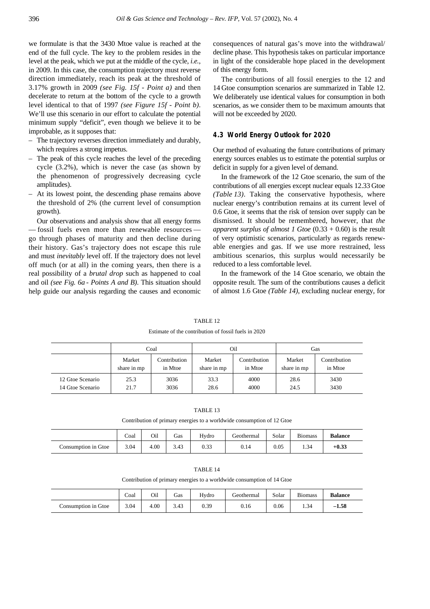we formulate is that the 3430 Mtoe value is reached at the end of the full cycle. The key to the problem resides in the level at the peak, which we put at the middle of the cycle, *i.e.*, in 2009. In this case, the consumption trajectory must reverse direction immediately, reach its peak at the threshold of 3.17% growth in 2009 *(see Fig. 15f - Point a)* and then decelerate to return at the bottom of the cycle to a growth level identical to that of 1997 *(see Figure 15f - Point b)*. We'll use this scenario in our effort to calculate the potential minimum supply "deficit", even though we believe it to be improbable, as it supposes that:

- The trajectory reverses direction immediately and durably, which requires a strong impetus.
- The peak of this cycle reaches the level of the preceding cycle (3.2%), which is never the case (as shown by the phenomenon of progressively decreasing cycle amplitudes).
- At its lowest point, the descending phase remains above the threshold of 2% (the current level of consumption growth).

Our observations and analysis show that all energy forms — fossil fuels even more than renewable resources go through phases of maturity and then decline during their history. Gas's trajectory does not escape this rule and must *inevitably* level off. If the trajectory does not level off much (or at all) in the coming years, then there is a real possibility of a *brutal drop* such as happened to coal and oil *(see Fig. 6a - Points A and B)*. This situation should help guide our analysis regarding the causes and economic consequences of natural gas's move into the withdrawal/ decline phase. This hypothesis takes on particular importance in light of the considerable hope placed in the development of this energy form.

The contributions of all fossil energies to the 12 and 14 Gtoe consumption scenarios are summarized in Table 12. We deliberately use identical values for consumption in both scenarios, as we consider them to be maximum amounts that will not be exceeded by 2020.

## **4.3 World Energy Outlook for 2020**

Our method of evaluating the future contributions of primary energy sources enables us to estimate the potential surplus or deficit in supply for a given level of demand.

In the framework of the 12 Gtoe scenario, the sum of the contributions of all energies except nuclear equals 12.33 Gtoe *(Table 13)*. Taking the conservative hypothesis, where nuclear energy's contribution remains at its current level of 0.6 Gtoe, it seems that the risk of tension over supply can be dismissed. It should be remembered, however, that *the apparent surplus of almost 1 Gtoe* (0.33 + 0.60) is the result of very optimistic scenarios, particularly as regards renewable energies and gas. If we use more restrained, less ambitious scenarios, this surplus would necessarily be reduced to a less comfortable level.

In the framework of the 14 Gtoe scenario, we obtain the opposite result. The sum of the contributions causes a deficit of almost 1.6 Gtoe *(Table 14)*, excluding nuclear energy, for

|                  |             | Coal         |             | Oil          | Gas         |              |  |
|------------------|-------------|--------------|-------------|--------------|-------------|--------------|--|
|                  | Market      | Contribution | Market      | Contribution | Market      | Contribution |  |
|                  | share in mp | in Mtoe      | share in mp | in Mtoe      | share in mp | in Mtoe      |  |
| 12 Gtoe Scenario | 25.3        | 3036         | 33.3        | 4000         | 28.6        | 3430         |  |
| 14 Gtoe Scenario | 21.7        | 3036         | 28.6        | 4000         | 24.5        | 3430         |  |

TABLE 12 Estimate of the contribution of fossil fuels in 2020

TABLE 13

Contribution of primary energies to a worldwide consumption of 12 Gtoe

|                     | Coal | Oil  | Gas  | Hydro | Geothermal | Solar | <b>Biomass</b> | <b>Balance</b> |
|---------------------|------|------|------|-------|------------|-------|----------------|----------------|
| Consumption in Gtoe | 3.04 | 4.00 | 3.43 | 0.33  | 0.14       | 0.05  | 1.34           | $+0.33$        |

|--|--|

Contribution of primary energies to a worldwide consumption of 14 Gtoe

|                     | Coal | Oil  | $\overline{\phantom{a}}$<br>Gas | Hydro | Geothermal | Solar | <b>Biomass</b> | <b>Balance</b> |
|---------------------|------|------|---------------------------------|-------|------------|-------|----------------|----------------|
| Consumption in Gtoe | 3.04 | 4.00 | 3.43                            | 0.39  | 0.16       | 0.06  | 1.34           | $-1.58$        |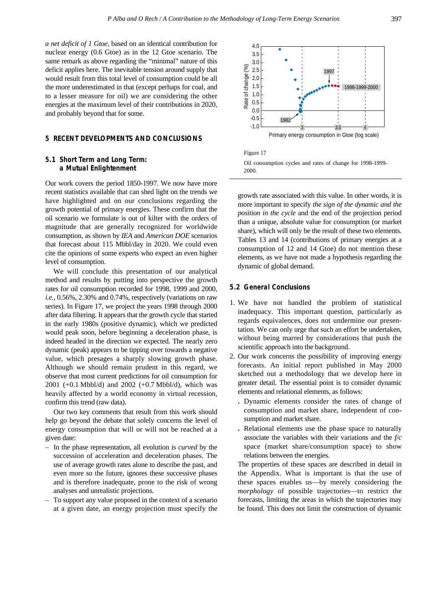*a net deficit of 1 Gtoe*, based on an identical contribution for nuclear energy (0.6 Gtoe) as in the 12 Gtoe scenario. The same remark as above regarding the "minimal" nature of this deficit applies here. The inevitable tension around supply that would result from this total level of consumption could be all the more underestimated in that (except perhaps for coal, and to a lesser measure for oil) we are considering the other energies at the maximum level of their contributions in 2020, and probably beyond that for some.

## **5 RECENT DEVELOPMENTS AND CONCLUSIONS**

## **5.1 Short Term and Long Term: a Mutual Enlightenment**

Our work covers the period 1850-1997. We now have more recent statistics available that can shed light on the trends we have highlighted and on our conclusions regarding the growth potential of primary energies. These confirm that the oil scenario we formulate is out of kilter with the orders of magnitude that are generally recognized for worldwide consumption, as shown by *IEA* and *American DOE* scenarios that forecast about 115 Mbbl/day in 2020. We could even cite the opinions of some experts who expect an even higher level of consumption.

We will conclude this presentation of our analytical method and results by putting into perspective the growth rates for oil consumption recorded for 1998, 1999 and 2000, *i.e.*, 0.56%, 2.30% and 0.74%, respectively (variations on raw series). In Figure 17, we project the years 1998 through 2000 after data filtering. It appears that the growth cycle that started in the early 1980s (positive dynamic), which we predicted would peak soon, before beginning a deceleration phase, is indeed headed in the direction we expected. The nearly zero dynamic (peak) appears to be tipping over towards a negative value, which presages a sharply slowing growth phase. Although we should remain prudent in this regard, we observe that most current predictions for oil consumption for 2001 (+0.1 Mbbl/d) and 2002 (+0.7 Mbbl/d), which was heavily affected by a world economy in virtual recession, confirm this trend (raw data).

Our two key comments that result from this work should help go beyond the debate that solely concerns the level of energy consumption that will or will not be reached at a given date:

- In the phase representation, all evolution is *curved* by the succession of acceleration and deceleration phases. The use of average growth rates alone to describe the past, and even more so the future, ignores these successive phases and is therefore inadequate, prone to the risk of wrong analyses and unrealistic projections.
- To support any value proposed in the context of a scenario at a given date, an energy projection must specify the







growth rate associated with this value. In other words, it is more important to specify *the sign of the dynamic and the position in the cycle* and the end of the projection period than a unique, absolute value for consumption (or market share), which will only be the result of these two elements. Tables 13 and 14 (contributions of primary energies at a consumption of 12 and 14 Gtoe) do not mention these elements, as we have not made a hypothesis regarding the dynamic of global demand.

## **5.2 General Conclusions**

- 1. We have not handled the problem of statistical inadequacy. This important question, particularly as regards equivalences, does not undermine our presentation. We can only urge that such an effort be undertaken, without being marred by considerations that push the scientific approach into the background.
- 2. Our work concerns the possibility of improving energy forecasts. An initial report published in May 2000 sketched out a methodology that we develop here in greater detail. The essential point is to consider dynamic elements and relational elements, as follows:
	- **.** Dynamic elements consider the rates of change of consumption and market share, independent of consumption and market share.
	- **.** Relational elements use the phase space to naturally associate the variables with their variations and the *f/c* space (market share/consumption space) to show relations between the energies.

The properties of these spaces are described in detail in the Appendix. What is important is that the use of these spaces enables us—by merely considering the *morphology* of possible trajectories—to restrict the forecasts, limiting the areas in which the trajectories may be found. This does not limit the construction of dynamic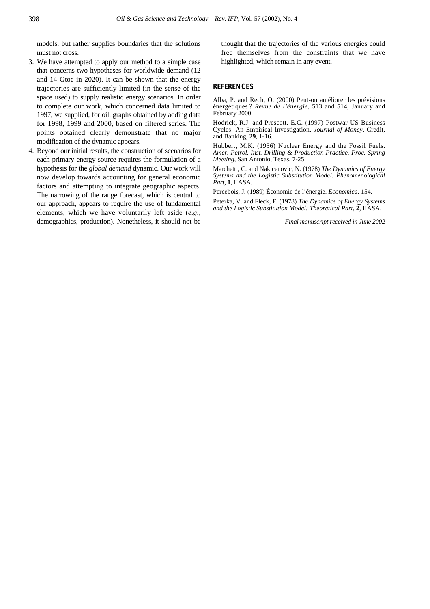models, but rather supplies boundaries that the solutions must not cross.

- 3. We have attempted to apply our method to a simple case that concerns two hypotheses for worldwide demand (12 and 14 Gtoe in 2020). It can be shown that the energy trajectories are sufficiently limited (in the sense of the space used) to supply realistic energy scenarios. In order to complete our work, which concerned data limited to 1997, we supplied, for oil, graphs obtained by adding data for 1998, 1999 and 2000, based on filtered series. The points obtained clearly demonstrate that no major modification of the dynamic appears.
- 4. Beyond our initial results, the construction of scenarios for each primary energy source requires the formulation of a hypothesis for the *global demand* dynamic. Our work will now develop towards accounting for general economic factors and attempting to integrate geographic aspects. The narrowing of the range forecast, which is central to our approach, appears to require the use of fundamental elements, which we have voluntarily left aside (*e.g.*, demographics, production). Nonetheless, it should not be

thought that the trajectories of the various energies could free themselves from the constraints that we have highlighted, which remain in any event.

#### **REFERENCES**

Alba, P. and Rech, O. (2000) Peut-on améliorer les prévisions énergétiques ? *Revue de l'énergie*, 513 and 514, January and February 2000.

Hodrick, R.J. and Prescott, E.C. (1997) Postwar US Business Cycles: An Empirical Investigation. *Journal of Money*, Credit, and Banking, **29**, 1-16.

Hubbert, M.K. (1956) Nuclear Energy and the Fossil Fuels. *Amer. Petrol. Inst. Drilling & Production Practice. Proc. Spring Meeting*, San Antonio, Texas, 7-25.

Marchetti, C. and Nakicenovic, N. (1978) *The Dynamics of Energy Systems and the Logistic Substitution Model: Phenomenological Part*, **1**, IIASA.

Percebois, J. (1989) Économie de l'énergie. *Economica*, 154.

Peterka, V. and Fleck, F. (1978) *The Dynamics of Energy Systems and the Logistic Substitution Model: Theoretical Part*, **2**, IIASA.

*Final manuscript received in June 2002*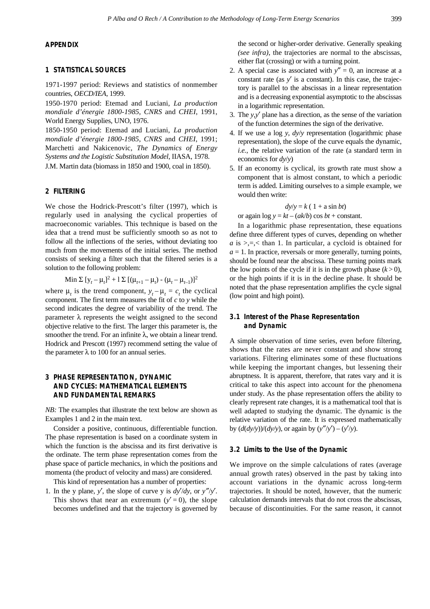## **APPENDIX**

## **1 STATISTICAL SOURCES**

1971-1997 period: Reviews and statistics of nonmember countries, *OECD/IEA*, 1999.

1950-1970 period: Etemad and Luciani, *La production mondiale d'énergie 1800-1985*, *CNRS* and *CHEI*, 1991, World Energy Supplies, UNO, 1976.

1850-1950 period: Etemad and Luciani, *La production mondiale d'énergie 1800-1985*, *CNRS* and *CHEI*, 1991; Marchetti and Nakicenovic, *The Dynamics of Energy Systems and the Logistic Substitution Model*, IIASA, 1978. J.M. Martin data (biomass in 1850 and 1900, coal in 1850).

## **2 FILTERING**

We chose the Hodrick-Prescott's filter (1997), which is regularly used in analysing the cyclical properties of macroeconomic variables. This technique is based on the idea that a trend must be sufficiently smooth so as not to follow all the inflections of the series, without deviating too much from the movements of the initial series. The method consists of seeking a filter such that the filtered series is a solution to the following problem:

Min 
$$
\Sigma
$$
 [ $y_t - \mu_t$ ]<sup>2</sup> + 1  $\Sigma$  [( $\mu_{t+1} - \mu_t$ ) - ( $\mu_t - \mu_{t-1}$ )]<sup>2</sup>

where  $\mu_t$  is the trend component,  $y_t - \mu_t = c_t$ , the cyclical component. The first term measures the fit of *c* to *y* while the second indicates the degree of variability of the trend. The parameter  $\lambda$  represents the weight assigned to the second objective relative to the first. The larger this parameter is, the smoother the trend. For an infinite  $\lambda$ , we obtain a linear trend. Hodrick and Prescott (1997) recommend setting the value of the parameter  $\lambda$  to 100 for an annual series.

## **3 PHASE REPRESENTATION, DYNAMIC AND CYCLES: MATHEMATICAL ELEMENTS AND FUNDAMENTAL REMARKS**

*NB:* The examples that illustrate the text below are shown as Examples 1 and 2 in the main text.

Consider a positive, continuous, differentiable function. The phase representation is based on a coordinate system in which the function is the abscissa and its first derivative is the ordinate. The term phase representation comes from the phase space of particle mechanics, in which the positions and momenta (the product of velocity and mass) are considered.

This kind of representation has a number of properties:

1. In the y plane, y', the slope of curve y is  $dy'/dy$ , or  $y''/y'$ . This shows that near an extremum  $(y' = 0)$ , the slope becomes undefined and that the trajectory is governed by the second or higher-order derivative. Generally speaking *(see infra)*, the trajectories are normal to the abscissas, either flat (crossing) or with a turning point.

- 2. A special case is associated with  $y'' = 0$ , an increase at a constant rate (as *y*′ is a constant). In this case, the trajectory is parallel to the abscissas in a linear representation and is a decreasing exponential asymptotic to the abscissas in a logarithmic representation.
- 3. The *y*,*y*′ plane has a direction, as the sense of the variation of the function determines the sign of the derivative.
- 4. If we use a log *y*, *dy*/*y* representation (logarithmic phase representation), the slope of the curve equals the dynamic, *i.e.*, the relative variation of the rate (a standard term in economics for *dy*/*y*)
- 5. If an economy is cyclical, its growth rate must show a component that is almost constant, to which a periodic term is added. Limiting ourselves to a simple example, we would then write:

$$
dy/y = k(1 + a \sin bt)
$$

or again  $\log y = kt - (ak/b) \cos bt + \text{constant}$ .

In a logarithmic phase representation, these equations define three different types of curves, depending on whether *a* is  $\geq$ ,  $\leq$  than 1. In particular, a cycloid is obtained for  $a = 1$ . In practice, reversals or more generally, turning points, should be found near the abscissa. These turning points mark the low points of the cycle if it is in the growth phase  $(k>0)$ , or the high points if it is in the decline phase. It should be noted that the phase representation amplifies the cycle signal (low point and high point).

## **3.1 Interest of the Phase Representation and Dynamic**

A simple observation of time series, even before filtering, shows that the rates are never constant and show strong variations. Filtering eliminates some of these fluctuations while keeping the important changes, but lessening their abruptness. It is apparent, therefore, that rates vary and it is critical to take this aspect into account for the phenomena under study. As the phase representation offers the ability to clearly represent rate changes, it is a mathematical tool that is well adapted to studying the dynamic. The dynamic is the relative variation of the rate. It is expressed mathematically by  $\frac{d}{dy}{y}$ )/ $\frac{dy}{y}$ , or again by  $\frac{y''}{y'} - \frac{y'}{y}$ .

#### **3.2 Limits to the Use of the Dynamic**

We improve on the simple calculations of rates (average annual growth rates) observed in the past by taking into account variations in the dynamic across long-term trajectories. It should be noted, however, that the numeric calculation demands intervals that do not cross the abscissas, because of discontinuities. For the same reason, it cannot